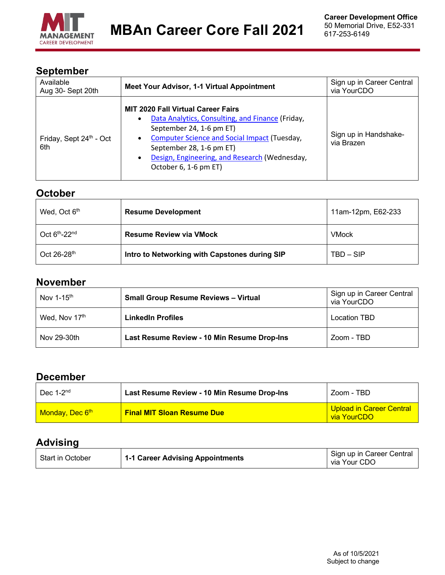

## **September**

| Available<br>Aug 30- Sept 20th             | Meet Your Advisor, 1-1 Virtual Appointment                                                                                                                                                                                                                                                                    | Sign up in Career Central<br>via YourCDO |
|--------------------------------------------|---------------------------------------------------------------------------------------------------------------------------------------------------------------------------------------------------------------------------------------------------------------------------------------------------------------|------------------------------------------|
| Friday, Sept 24 <sup>th</sup> - Oct<br>6th | <b>MIT 2020 Fall Virtual Career Fairs</b><br>Data Analytics, Consulting, and Finance (Friday,<br>$\bullet$<br>September 24, 1-6 pm ET)<br><b>Computer Science and Social Impact (Tuesday,</b><br>٠<br>September 28, 1-6 pm ET)<br>Design, Engineering, and Research (Wednesday,<br>٠<br>October 6, 1-6 pm ET) | Sign up in Handshake-<br>via Brazen      |

## **October**

| Wed, Oct 6 <sup>th</sup> | <b>Resume Development</b>                     | 11am-12pm, E62-233 |
|--------------------------|-----------------------------------------------|--------------------|
| Oct 6th-22nd             | <b>Resume Review via VMock</b>                | <b>VMock</b>       |
| Oct 26-28th              | Intro to Networking with Capstones during SIP | $TBD - SIP$        |

## **November**

| Nov 1-15th    | <b>Small Group Resume Reviews - Virtual</b> | Sign up in Career Central<br>via YourCDO |
|---------------|---------------------------------------------|------------------------------------------|
| Wed, Nov 17th | <b>LinkedIn Profiles</b>                    | Location TBD                             |
| Nov 29-30th   | Last Resume Review - 10 Min Resume Drop-Ins | Zoom - TBD                               |

## **December**

| Dec $1-2^{nd}$                    | Last Resume Review - 10 Min Resume Drop-Ins | Zoom - TBD                                     |
|-----------------------------------|---------------------------------------------|------------------------------------------------|
| <b>Monday, Dec 6<sup>th</sup></b> | <b>Final MIT Sloan Resume Due</b>           | <b>Upload in Career Central</b><br>via YourCDO |

## **Advising**

| <b>Start in October</b> | 1-1 Career Advising Appointments | Sign up in Career Central<br>via Your CDO |
|-------------------------|----------------------------------|-------------------------------------------|
|-------------------------|----------------------------------|-------------------------------------------|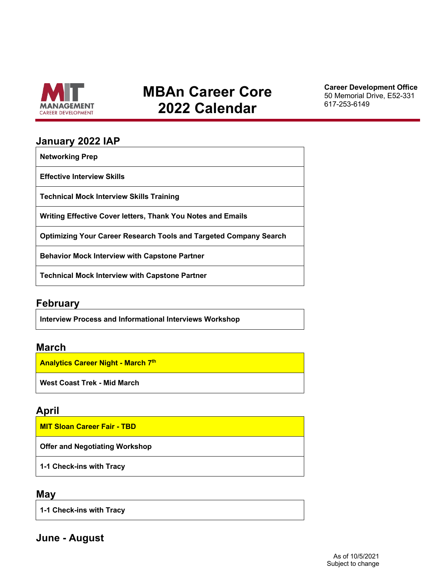

# **MBAn Career Core 2022 Calendar**

**Career Development Office**  50 Memorial Drive, E52-331 617-253-6149

#### **January 2022 IAP**

**Networking Prep**

**Effective Interview Skills**

**Technical Mock Interview Skills Training**

**Writing Effective Cover letters, Thank You Notes and Emails** 

**Optimizing Your Career Research Tools and Targeted Company Search** 

**Behavior Mock Interview with Capstone Partner** 

**Technical Mock Interview with Capstone Partner** 

#### **February**

**Interview Process and Informational Interviews Workshop**

#### **March**

**Analytics Career Night - March 7th** 

**West Coast Trek - Mid March**

## **April**

**MIT Sloan Career Fair - TBD** 

**Offer and Negotiating Workshop** 

**1-1 Check-ins with Tracy** 

#### **May**

**1-1 Check-ins with Tracy**

**June - August**